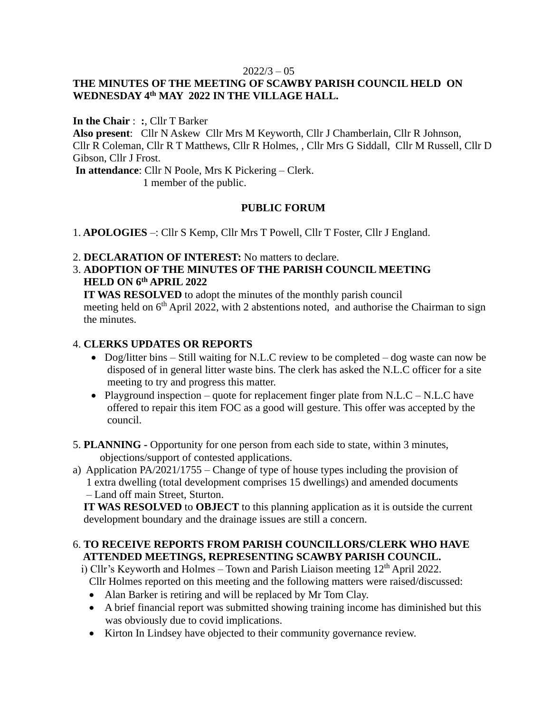# **THE MINUTES OF THE MEETING OF SCAWBY PARISH COUNCIL HELD ON WEDNESDAY 4 th MAY 2022 IN THE VILLAGE HALL.**

**In the Chair** : **:**, Cllr T Barker

**Also present**: Cllr N Askew Cllr Mrs M Keyworth, Cllr J Chamberlain, Cllr R Johnson, Cllr R Coleman, Cllr R T Matthews, Cllr R Holmes, , Cllr Mrs G Siddall, Cllr M Russell, Cllr D Gibson, Cllr J Frost.

**In attendance**: Cllr N Poole, Mrs K Pickering – Clerk.

1 member of the public.

# **PUBLIC FORUM**

1. **APOLOGIES** –: Cllr S Kemp, Cllr Mrs T Powell, Cllr T Foster, Cllr J England.

- 2. **DECLARATION OF INTEREST:** No matters to declare.
- 3. **ADOPTION OF THE MINUTES OF THE PARISH COUNCIL MEETING HELD ON 6 th APRIL 2022**

 **IT WAS RESOLVED** to adopt the minutes of the monthly parish council meeting held on  $6<sup>th</sup>$  April 2022, with 2 abstentions noted, and authorise the Chairman to sign the minutes.

### 4. **CLERKS UPDATES OR REPORTS**

- Dog/litter bins Still waiting for N.L.C review to be completed dog waste can now be disposed of in general litter waste bins. The clerk has asked the N.L.C officer for a site meeting to try and progress this matter.
- Playground inspection quote for replacement finger plate from N.L.C N.L.C have offered to repair this item FOC as a good will gesture. This offer was accepted by the council.
- 5. **PLANNING -** Opportunity for one person from each side to state, within 3 minutes, objections/support of contested applications.
- a) Application PA/2021/1755 Change of type of house types including the provision of 1 extra dwelling (total development comprises 15 dwellings) and amended documents – Land off main Street, Sturton.

 **IT WAS RESOLVED** to **OBJECT** to this planning application as it is outside the current development boundary and the drainage issues are still a concern.

# 6. **TO RECEIVE REPORTS FROM PARISH COUNCILLORS/CLERK WHO HAVE ATTENDED MEETINGS, REPRESENTING SCAWBY PARISH COUNCIL.**

i) Cllr's Keyworth and Holmes – Town and Parish Liaison meeting  $12<sup>th</sup>$  April 2022. Cllr Holmes reported on this meeting and the following matters were raised/discussed:

- Alan Barker is retiring and will be replaced by Mr Tom Clay.
- A brief financial report was submitted showing training income has diminished but this was obviously due to covid implications.
- Kirton In Lindsey have objected to their community governance review.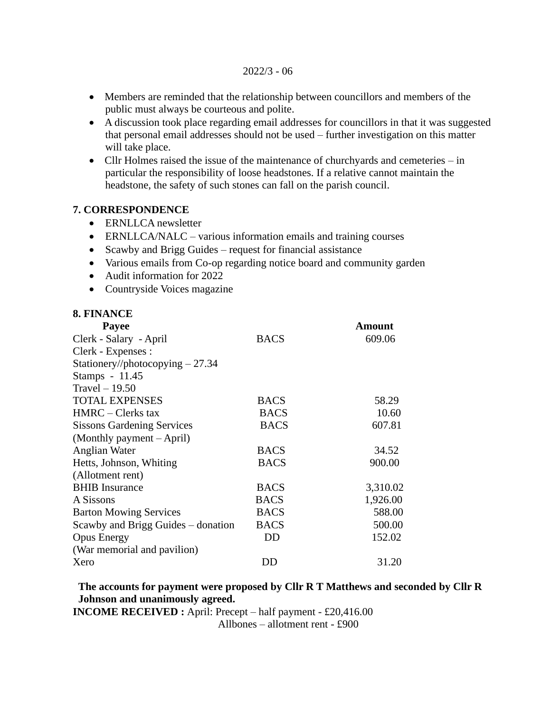- Members are reminded that the relationship between councillors and members of the public must always be courteous and polite.
- A discussion took place regarding email addresses for councillors in that it was suggested that personal email addresses should not be used – further investigation on this matter will take place.
- Cllr Holmes raised the issue of the maintenance of churchyards and cemeteries in particular the responsibility of loose headstones. If a relative cannot maintain the headstone, the safety of such stones can fall on the parish council.

## **7. CORRESPONDENCE**

- ERNLLCA newsletter
- ERNLLCA/NALC various information emails and training courses
- Scawby and Brigg Guides request for financial assistance
- Various emails from Co-op regarding notice board and community garden
- Audit information for 2022
- Countryside Voices magazine

## **8. FINANCE**

| <b>Payee</b>                       |             | Amount   |
|------------------------------------|-------------|----------|
| Clerk - Salary - April             | <b>BACS</b> | 609.06   |
| Clerk - Expenses :                 |             |          |
| Stationery//photocopying $-27.34$  |             |          |
| Stamps - 11.45                     |             |          |
| Travel $-19.50$                    |             |          |
| <b>TOTAL EXPENSES</b>              | <b>BACS</b> | 58.29    |
| $HMRC - Clerks$ tax                | <b>BACS</b> | 10.60    |
| <b>Sissons Gardening Services</b>  | <b>BACS</b> | 607.81   |
| (Monthly payment $-April$ )        |             |          |
| Anglian Water                      | <b>BACS</b> | 34.52    |
| Hetts, Johnson, Whiting            | <b>BACS</b> | 900.00   |
| (Allotment rent)                   |             |          |
| <b>BHIB</b> Insurance              | <b>BACS</b> | 3,310.02 |
| A Sissons                          | <b>BACS</b> | 1,926.00 |
| <b>Barton Mowing Services</b>      | <b>BACS</b> | 588.00   |
| Scawby and Brigg Guides – donation | <b>BACS</b> | 500.00   |
| <b>Opus Energy</b>                 | DD          | 152.02   |
| (War memorial and pavilion)        |             |          |
| Xero                               | DD          | 31.20    |

 **The accounts for payment were proposed by Cllr R T Matthews and seconded by Cllr R Johnson and unanimously agreed.** 

**INCOME RECEIVED :** April: Precept – half payment - £20,416.00

Allbones – allotment rent - £900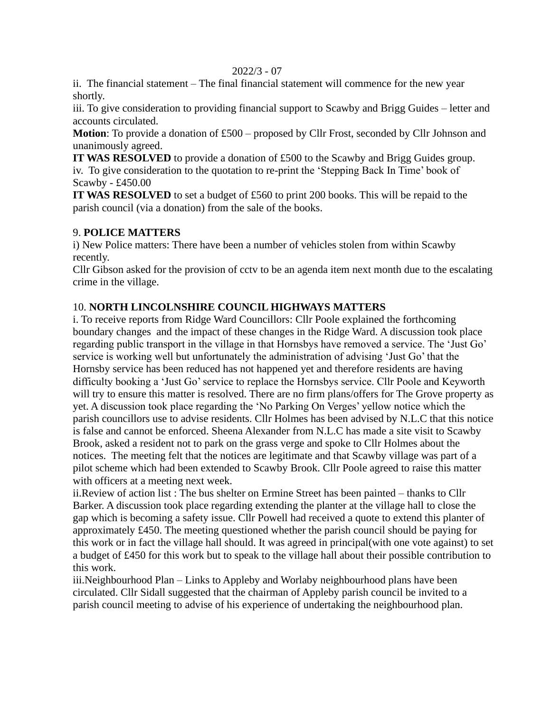ii. The financial statement – The final financial statement will commence for the new year shortly.

iii. To give consideration to providing financial support to Scawby and Brigg Guides – letter and accounts circulated.

**Motion**: To provide a donation of £500 – proposed by Cllr Frost, seconded by Cllr Johnson and unanimously agreed.

**IT WAS RESOLVED** to provide a donation of £500 to the Scawby and Brigg Guides group. iv. To give consideration to the quotation to re-print the 'Stepping Back In Time' book of Scawby - £450.00

**IT WAS RESOLVED** to set a budget of £560 to print 200 books. This will be repaid to the parish council (via a donation) from the sale of the books.

# 9. **POLICE MATTERS**

i) New Police matters: There have been a number of vehicles stolen from within Scawby recently.

Cllr Gibson asked for the provision of cctv to be an agenda item next month due to the escalating crime in the village.

# 10. **NORTH LINCOLNSHIRE COUNCIL HIGHWAYS MATTERS**

i. To receive reports from Ridge Ward Councillors: Cllr Poole explained the forthcoming boundary changes and the impact of these changes in the Ridge Ward. A discussion took place regarding public transport in the village in that Hornsbys have removed a service. The 'Just Go' service is working well but unfortunately the administration of advising 'Just Go' that the Hornsby service has been reduced has not happened yet and therefore residents are having difficulty booking a 'Just Go' service to replace the Hornsbys service. Cllr Poole and Keyworth will try to ensure this matter is resolved. There are no firm plans/offers for The Grove property as yet. A discussion took place regarding the 'No Parking On Verges' yellow notice which the parish councillors use to advise residents. Cllr Holmes has been advised by N.L.C that this notice is false and cannot be enforced. Sheena Alexander from N.L.C has made a site visit to Scawby Brook, asked a resident not to park on the grass verge and spoke to Cllr Holmes about the notices. The meeting felt that the notices are legitimate and that Scawby village was part of a pilot scheme which had been extended to Scawby Brook. Cllr Poole agreed to raise this matter with officers at a meeting next week.

ii.Review of action list : The bus shelter on Ermine Street has been painted – thanks to Cllr Barker. A discussion took place regarding extending the planter at the village hall to close the gap which is becoming a safety issue. Cllr Powell had received a quote to extend this planter of approximately £450. The meeting questioned whether the parish council should be paying for this work or in fact the village hall should. It was agreed in principal(with one vote against) to set a budget of £450 for this work but to speak to the village hall about their possible contribution to this work.

iii.Neighbourhood Plan – Links to Appleby and Worlaby neighbourhood plans have been circulated. Cllr Sidall suggested that the chairman of Appleby parish council be invited to a parish council meeting to advise of his experience of undertaking the neighbourhood plan.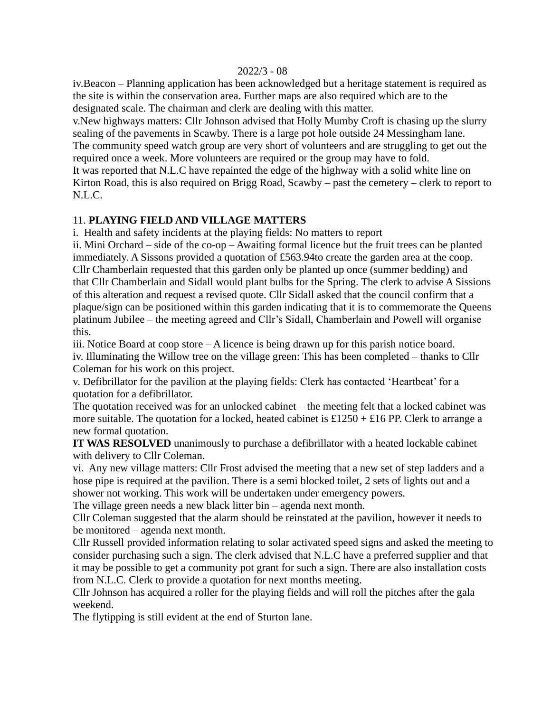iv.Beacon – Planning application has been acknowledged but a heritage statement is required as the site is within the conservation area. Further maps are also required which are to the designated scale. The chairman and clerk are dealing with this matter.

v.New highways matters: Cllr Johnson advised that Holly Mumby Croft is chasing up the slurry sealing of the pavements in Scawby. There is a large pot hole outside 24 Messingham lane. The community speed watch group are very short of volunteers and are struggling to get out the required once a week. More volunteers are required or the group may have to fold. It was reported that N.L.C have repainted the edge of the highway with a solid white line on Kirton Road, this is also required on Brigg Road, Scawby – past the cemetery – clerk to report to N.L.C.

# 11. **PLAYING FIELD AND VILLAGE MATTERS**

i. Health and safety incidents at the playing fields: No matters to report

ii. Mini Orchard – side of the co-op – Awaiting formal licence but the fruit trees can be planted immediately. A Sissons provided a quotation of £563.94to create the garden area at the coop. Cllr Chamberlain requested that this garden only be planted up once (summer bedding) and that Cllr Chamberlain and Sidall would plant bulbs for the Spring. The clerk to advise A Sissions of this alteration and request a revised quote. Cllr Sidall asked that the council confirm that a plaque/sign can be positioned within this garden indicating that it is to commemorate the Queens platinum Jubilee – the meeting agreed and Cllr's Sidall, Chamberlain and Powell will organise this.

iii. Notice Board at coop store – A licence is being drawn up for this parish notice board. iv. Illuminating the Willow tree on the village green: This has been completed – thanks to Cllr Coleman for his work on this project.

v. Defibrillator for the pavilion at the playing fields: Clerk has contacted 'Heartbeat' for a quotation for a defibrillator.

The quotation received was for an unlocked cabinet – the meeting felt that a locked cabinet was more suitable. The quotation for a locked, heated cabinet is  $£1250 + £16$  PP. Clerk to arrange a new formal quotation.

**IT WAS RESOLVED** unanimously to purchase a defibrillator with a heated lockable cabinet with delivery to Cllr Coleman.

vi. Any new village matters: Cllr Frost advised the meeting that a new set of step ladders and a hose pipe is required at the pavilion. There is a semi blocked toilet, 2 sets of lights out and a shower not working. This work will be undertaken under emergency powers.

The village green needs a new black litter bin – agenda next month.

Cllr Coleman suggested that the alarm should be reinstated at the pavilion, however it needs to be monitored – agenda next month.

Cllr Russell provided information relating to solar activated speed signs and asked the meeting to consider purchasing such a sign. The clerk advised that N.L.C have a preferred supplier and that it may be possible to get a community pot grant for such a sign. There are also installation costs from N.L.C. Clerk to provide a quotation for next months meeting.

Cllr Johnson has acquired a roller for the playing fields and will roll the pitches after the gala weekend.

The flytipping is still evident at the end of Sturton lane.